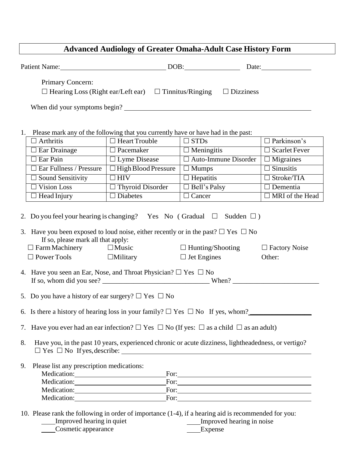## **Advanced Audiology of Greater Omaha-Adult Case History Form**

|                                                                                                                                                                                                                                                                                                                                                                                               |                                                                                                          | Patient Name: DOB:         |                                                                                                                                                                                                                                                                                                                                                 | Date:                  |  |  |
|-----------------------------------------------------------------------------------------------------------------------------------------------------------------------------------------------------------------------------------------------------------------------------------------------------------------------------------------------------------------------------------------------|----------------------------------------------------------------------------------------------------------|----------------------------|-------------------------------------------------------------------------------------------------------------------------------------------------------------------------------------------------------------------------------------------------------------------------------------------------------------------------------------------------|------------------------|--|--|
|                                                                                                                                                                                                                                                                                                                                                                                               | Primary Concern:                                                                                         |                            | $\Box$ Hearing Loss (Right ear/Left ear) $\Box$ Tinnitus/Ringing $\Box$ Dizziness                                                                                                                                                                                                                                                               |                        |  |  |
|                                                                                                                                                                                                                                                                                                                                                                                               | When did your symptoms begin?                                                                            |                            |                                                                                                                                                                                                                                                                                                                                                 |                        |  |  |
|                                                                                                                                                                                                                                                                                                                                                                                               |                                                                                                          |                            |                                                                                                                                                                                                                                                                                                                                                 |                        |  |  |
|                                                                                                                                                                                                                                                                                                                                                                                               |                                                                                                          |                            |                                                                                                                                                                                                                                                                                                                                                 |                        |  |  |
|                                                                                                                                                                                                                                                                                                                                                                                               | 1. Please mark any of the following that you currently have or have had in the past:<br>$\Box$ Arthritis | $\Box$ Heart Trouble       | $\square$ STDs                                                                                                                                                                                                                                                                                                                                  | $\Box$ Parkinson's     |  |  |
|                                                                                                                                                                                                                                                                                                                                                                                               | $\Box$ Ear Drainage                                                                                      | $\Box$ Pacemaker           | $\Box$ Meningitis                                                                                                                                                                                                                                                                                                                               | $\Box$ Scarlet Fever   |  |  |
|                                                                                                                                                                                                                                                                                                                                                                                               | $\Box$ Ear Pain                                                                                          | $\Box$ Lyme Disease        | $\Box$ Auto-Immune Disorder                                                                                                                                                                                                                                                                                                                     | $\Box$ Migraines       |  |  |
|                                                                                                                                                                                                                                                                                                                                                                                               | $\Box$ Ear Fullness / Pressure                                                                           | $\Box$ High Blood Pressure | $\Box$ Mumps                                                                                                                                                                                                                                                                                                                                    | $\Box$ Sinusitis       |  |  |
|                                                                                                                                                                                                                                                                                                                                                                                               | $\Box$ Sound Sensitivity                                                                                 | $\Box$ HIV                 | $\Box$ Hepatitis                                                                                                                                                                                                                                                                                                                                | $\Box$ Stroke/TIA      |  |  |
|                                                                                                                                                                                                                                                                                                                                                                                               | $\Box$ Vision Loss                                                                                       | $\Box$ Thyroid Disorder    | $\Box$ Bell's Palsy                                                                                                                                                                                                                                                                                                                             | $\Box$ Dementia        |  |  |
|                                                                                                                                                                                                                                                                                                                                                                                               | $\Box$ Head Injury                                                                                       | $\Box$ Diabetes            | $\Box$ Cancer                                                                                                                                                                                                                                                                                                                                   | $\Box$ MRI of the Head |  |  |
| 2. Do you feel your hearing is changing? Yes No (Gradual $\square$ Sudden $\square$ )<br>3. Have you been exposed to loud noise, either recently or in the past? $\Box$ Yes $\Box$ No<br>If so, please mark all that apply:<br>$\Box$ Farm Machinery $\Box$ Music<br>$\Box$ Hunting/Shooting<br>$\Box$ Factory Noise<br>$\Box$ Power Tools<br>$\Box$ Jet Engines<br>$\Box$ Military<br>Other: |                                                                                                          |                            |                                                                                                                                                                                                                                                                                                                                                 |                        |  |  |
|                                                                                                                                                                                                                                                                                                                                                                                               | 4. Have you seen an Ear, Nose, and Throat Physician? $\Box$ Yes $\Box$ No                                |                            |                                                                                                                                                                                                                                                                                                                                                 |                        |  |  |
| 5. Do you have a history of ear surgery? $\Box$ Yes $\Box$ No                                                                                                                                                                                                                                                                                                                                 |                                                                                                          |                            |                                                                                                                                                                                                                                                                                                                                                 |                        |  |  |
| 6. Is there a history of hearing loss in your family? $\Box$ Yes $\Box$ No If yes, whom?                                                                                                                                                                                                                                                                                                      |                                                                                                          |                            |                                                                                                                                                                                                                                                                                                                                                 |                        |  |  |
| 7. Have you ever had an ear infection? $\Box$ Yes $\Box$ No (If yes: $\Box$ as a child $\Box$ as an adult)                                                                                                                                                                                                                                                                                    |                                                                                                          |                            |                                                                                                                                                                                                                                                                                                                                                 |                        |  |  |
| 8.<br>Have you, in the past 10 years, experienced chronic or acute dizziness, lightheadedness, or vertigo?                                                                                                                                                                                                                                                                                    |                                                                                                          |                            |                                                                                                                                                                                                                                                                                                                                                 |                        |  |  |
| 9.                                                                                                                                                                                                                                                                                                                                                                                            | Please list any prescription medications:                                                                |                            | For: $\frac{1}{2}$ $\frac{1}{2}$ $\frac{1}{2}$ $\frac{1}{2}$ $\frac{1}{2}$ $\frac{1}{2}$ $\frac{1}{2}$ $\frac{1}{2}$ $\frac{1}{2}$ $\frac{1}{2}$ $\frac{1}{2}$ $\frac{1}{2}$ $\frac{1}{2}$ $\frac{1}{2}$ $\frac{1}{2}$ $\frac{1}{2}$ $\frac{1}{2}$ $\frac{1}{2}$ $\frac{1}{2}$ $\frac{1}{2}$ $\frac{1}{2}$ $\frac{1}{$<br>Medication: For: For: |                        |  |  |
|                                                                                                                                                                                                                                                                                                                                                                                               |                                                                                                          |                            | Medication: For: For:                                                                                                                                                                                                                                                                                                                           |                        |  |  |
|                                                                                                                                                                                                                                                                                                                                                                                               |                                                                                                          |                            | Medication: For: For:                                                                                                                                                                                                                                                                                                                           |                        |  |  |
|                                                                                                                                                                                                                                                                                                                                                                                               |                                                                                                          |                            | 10. Please rank the following in order of importance (1-4), if a hearing aid is recommended for you:                                                                                                                                                                                                                                            |                        |  |  |

| Improved hearing in quiet | Improved hearing in noise |
|---------------------------|---------------------------|
| Cosmetic appearance       | Expense                   |